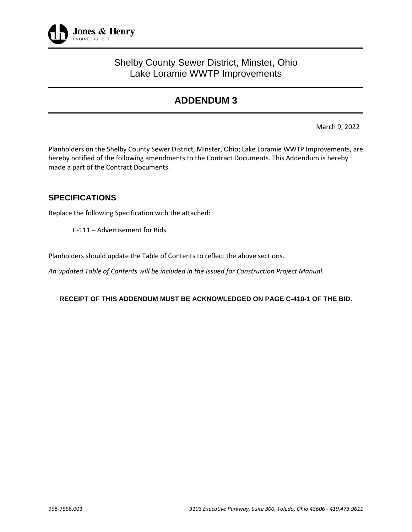

## Shelby County Sewer District, Minster, Ohio Lake Loramie WWTP Improvements

# **ADDENDUM 3**

March 9, 2022

Planholders on the Shelby County Sewer District, Minster, Ohio; Lake Loramie WWTP Improvements, are hereby notified of the following amendments to the Contract Documents. This Addendum is hereby made a part of the Contract Documents.

## **SPECIFICATIONS**

Replace the following Specification with the attached:

C-111 – Advertisement for Bids

Planholders should update the Table of Contents to reflect the above sections.

*An updated Table of Contents will be included in the Issued for Construction Project Manual.* 

**RECEIPT OF THIS ADDENDUM MUST BE ACKNOWLEDGED ON PAGE C-410-1 OF THE BID.**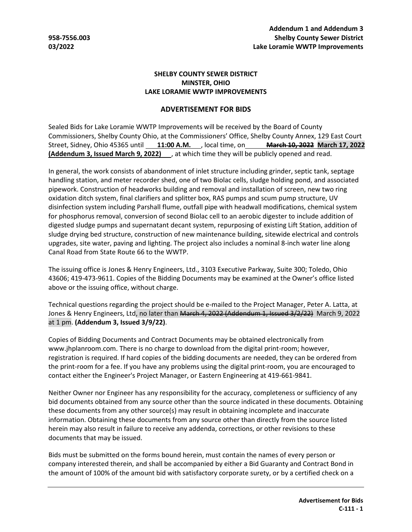#### **SHELBY COUNTY SEWER DISTRICT MINSTER, OHIO LAKE LORAMIE WWTP IMPROVEMENTS**

### **ADVERTISEMENT FOR BIDS**

Sealed Bids for Lake Loramie WWTP Improvements will be received by the Board of County Commissioners, Shelby County Ohio, at the Commissioners' Office, Shelby County Annex, 129 East Court Street, Sidney, Ohio 45365 until **11:00 A.M.** , local time, on **March 10, 2022 March 17, 2022 (Addendum 3, Issued March 9, 2022)** , at which time they will be publicly opened and read.

In general, the work consists of abandonment of inlet structure including grinder, septic tank, septage handling station, and meter recorder shed, one of two Biolac cells, sludge holding pond, and associated pipework. Construction of headworks building and removal and installation of screen, new two ring oxidation ditch system, final clarifiers and splitter box, RAS pumps and scum pump structure, UV disinfection system including Parshall flume, outfall pipe with headwall modifications, chemical system for phosphorus removal, conversion of second Biolac cell to an aerobic digester to include addition of digested sludge pumps and supernatant decant system, repurposing of existing Lift Station, addition of sludge drying bed structure, construction of new maintenance building, sitewide electrical and controls upgrades, site water, paving and lighting. The project also includes a nominal 8-inch water line along Canal Road from State Route 66 to the WWTP.

The issuing office is Jones & Henry Engineers, Ltd., 3103 Executive Parkway, Suite 300; Toledo, Ohio 43606; 419-473-9611. Copies of the Bidding Documents may be examined at the Owner's office listed above or the issuing office, without charge.

Technical questions regarding the project should be e-mailed to the Project Manager, Peter A. Latta, at Jones & Henry Engineers, Ltd, no later than March 4, 2022 (Addendum 1, Issued 3/2/22) March 9, 2022 at 1 pm. **(Addendum 3, Issued 3/9/22)**.

Copies of Bidding Documents and Contract Documents may be obtained electronically from www.jhplanroom.com. There is no charge to download from the digital print-room; however, registration is required. If hard copies of the bidding documents are needed, they can be ordered from the print-room for a fee. If you have any problems using the digital print-room, you are encouraged to contact either the Engineer's Project Manager, or Eastern Engineering at 419-661-9841.

Neither Owner nor Engineer has any responsibility for the accuracy, completeness or sufficiency of any bid documents obtained from any source other than the source indicated in these documents. Obtaining these documents from any other source(s) may result in obtaining incomplete and inaccurate information. Obtaining these documents from any source other than directly from the source listed herein may also result in failure to receive any addenda, corrections, or other revisions to these documents that may be issued.

Bids must be submitted on the forms bound herein, must contain the names of every person or company interested therein, and shall be accompanied by either a Bid Guaranty and Contract Bond in the amount of 100% of the amount bid with satisfactory corporate surety, or by a certified check on a